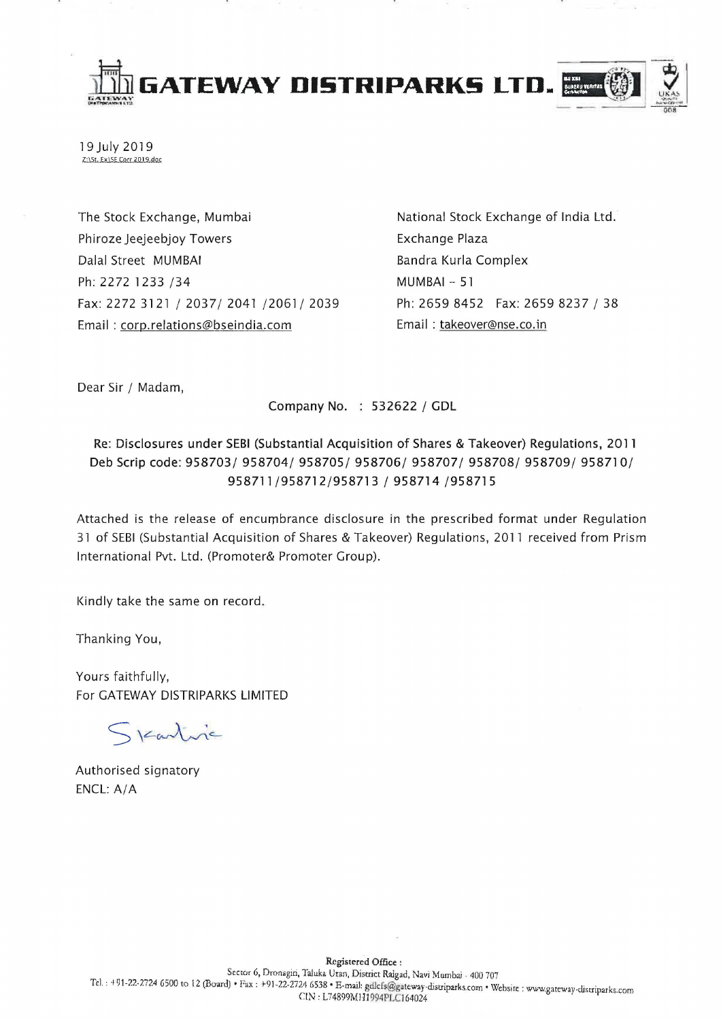

19 July 2019 Z:\St. Ex\SE Corr 2019.doc

The Stock Exchange, Mumbai Phiroze Jeejeebjoy Towers Dalal Street MUMBAI Ph: 2272 1233 /34 Fax: 2272 3121 / 2037/ 2041 /2061/ 2039 Email: corp.relations@bseindia.com

National Stock Exchange of India Ltd. **Exchange Plaza** Bandra Kurla Complex  $MUMBAI - 51$ Ph: 2659 8452 Fax: 2659 8237 / 38 Email: takeover@nse.co.in

Dear Sir / Madam,

Company No. : 532622 / GDL

## Re: Disclosures under SEBI (Substantial Acquisition of Shares & Takeover) Regulations, 2011 Deb Scrip code: 958703/958704/958705/958706/958707/958708/958709/958710/ 958711/958712/958713 / 958714 /958715

Attached is the release of encumbrance disclosure in the prescribed format under Regulation 31 of SEBI (Substantial Acquisition of Shares & Takeover) Regulations, 2011 received from Prism International Pvt. Ltd. (Promoter& Promoter Group).

Kindly take the same on record.

Thanking You,

Yours faithfully, For GATEWAY DISTRIPARKS LIMITED

Skartise

Authorised signatory ENCL: A/A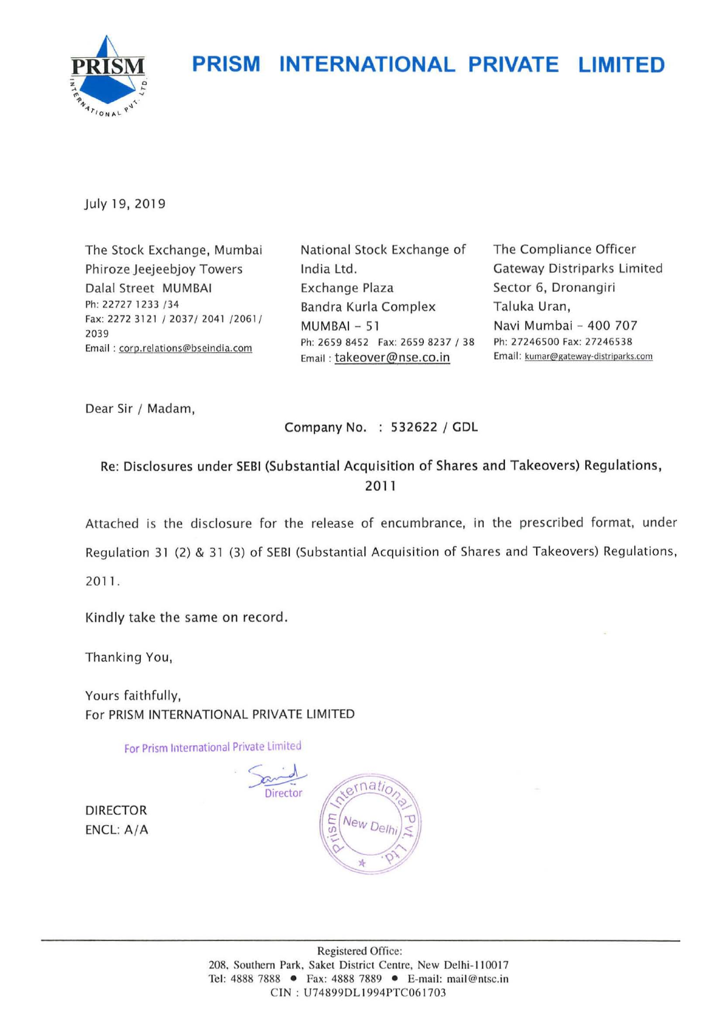## **PRISM INTERNATIONAL PRIVATE LIMITED**



July 19, 2019

The Stock Exchange, Mumbai Phiroze Jeejeebjoy Towers Dalal Street MUMBAI Ph: 22727 1233 /34 Fax: 2272 3121 / 2037/ 2041 /2061/ 2039 **Emai l : coro.relations@bseindia.com** 

National Stock Exchange of India Ltd. Exchange Plaza Bandra Kurla Complex MUMBAI - 51 Ph: 2659 8452 Fax: 2659 8237 / 38 Email: takeover@nse.co.in

The Compliance Officer Gateway Distriparks Limited Sector 6, Dronangiri Taluka Uran, Navi Mumbai - 400 707 Ph: 27246500 Fax: 27246538 **Emai l: kurnar@gateway-dlstrlparks.com** 

Dear Sir / Madam,

Company No. : 532622 / GDL

Re: Disclosures under SEBI (Substantial Acquisition of Shares and Takeovers) Regulations, 2011

Attached is the disclosure for the release of encumbrance, in the prescribed format, under Regulation 31 (2) & 31 (3) of SEBI (Substantial Acquisition of Shares and Takeovers) Regulations, 20 11.

Kindly take the same on record.

Thanking You,

Yours faithfully, For PRISM INTERNATIONAL PRIVATE LIMITED

For Prism International Private Limited

 $\lt$ 

ate Limited<br>
Sand<br>
Director (1810  $\cdot$  j New Del Ÿ.

DIRECTOR ENCL: A/A